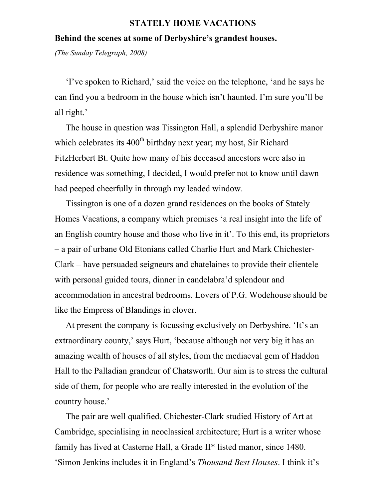## STATELY HOME VACATIONS

## Behind the scenes at some of Derbyshire's grandest houses.

*(The Sunday Telegraph, 2008)*

 'I've spoken to Richard,' said the voice on the telephone, 'and he says he can find you a bedroom in the house which isn't haunted. I'm sure you'll be all right.'

 The house in question was Tissington Hall, a splendid Derbyshire manor which celebrates its  $400<sup>th</sup>$  birthday next year; my host, Sir Richard FitzHerbert Bt. Quite how many of his deceased ancestors were also in residence was something, I decided, I would prefer not to know until dawn had peeped cheerfully in through my leaded window.

 Tissington is one of a dozen grand residences on the books of Stately Homes Vacations, a company which promises 'a real insight into the life of an English country house and those who live in it'. To this end, its proprietors – a pair of urbane Old Etonians called Charlie Hurt and Mark Chichester-Clark – have persuaded seigneurs and chatelaines to provide their clientele with personal guided tours, dinner in candelabra'd splendour and accommodation in ancestral bedrooms. Lovers of P.G. Wodehouse should be like the Empress of Blandings in clover.

 At present the company is focussing exclusively on Derbyshire. 'It's an extraordinary county,' says Hurt, 'because although not very big it has an amazing wealth of houses of all styles, from the mediaeval gem of Haddon Hall to the Palladian grandeur of Chatsworth. Our aim is to stress the cultural side of them, for people who are really interested in the evolution of the country house.'

 The pair are well qualified. Chichester-Clark studied History of Art at Cambridge, specialising in neoclassical architecture; Hurt is a writer whose family has lived at Casterne Hall, a Grade II\* listed manor, since 1480. 'Simon Jenkins includes it in England's *Thousand Best Houses*. I think it's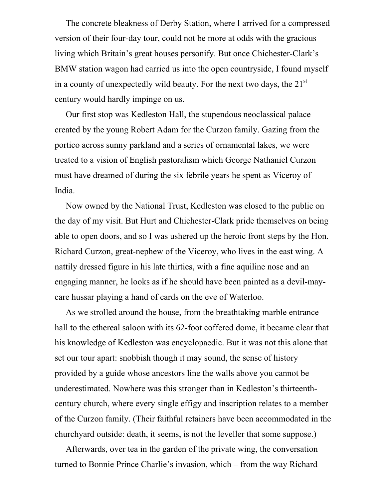The concrete bleakness of Derby Station, where I arrived for a compressed version of their four-day tour, could not be more at odds with the gracious living which Britain's great houses personify. But once Chichester-Clark's BMW station wagon had carried us into the open countryside, I found myself in a county of unexpectedly wild beauty. For the next two days, the  $21<sup>st</sup>$ century would hardly impinge on us.

 Our first stop was Kedleston Hall, the stupendous neoclassical palace created by the young Robert Adam for the Curzon family. Gazing from the portico across sunny parkland and a series of ornamental lakes, we were treated to a vision of English pastoralism which George Nathaniel Curzon must have dreamed of during the six febrile years he spent as Viceroy of India.

 Now owned by the National Trust, Kedleston was closed to the public on the day of my visit. But Hurt and Chichester-Clark pride themselves on being able to open doors, and so I was ushered up the heroic front steps by the Hon. Richard Curzon, great-nephew of the Viceroy, who lives in the east wing. A nattily dressed figure in his late thirties, with a fine aquiline nose and an engaging manner, he looks as if he should have been painted as a devil-maycare hussar playing a hand of cards on the eve of Waterloo.

 As we strolled around the house, from the breathtaking marble entrance hall to the ethereal saloon with its 62-foot coffered dome, it became clear that his knowledge of Kedleston was encyclopaedic. But it was not this alone that set our tour apart: snobbish though it may sound, the sense of history provided by a guide whose ancestors line the walls above you cannot be underestimated. Nowhere was this stronger than in Kedleston's thirteenthcentury church, where every single effigy and inscription relates to a member of the Curzon family. (Their faithful retainers have been accommodated in the churchyard outside: death, it seems, is not the leveller that some suppose.)

 Afterwards, over tea in the garden of the private wing, the conversation turned to Bonnie Prince Charlie's invasion, which – from the way Richard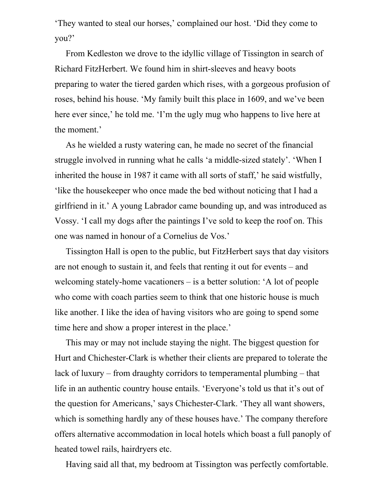'They wanted to steal our horses,' complained our host. 'Did they come to you?'

 From Kedleston we drove to the idyllic village of Tissington in search of Richard FitzHerbert. We found him in shirt-sleeves and heavy boots preparing to water the tiered garden which rises, with a gorgeous profusion of roses, behind his house. 'My family built this place in 1609, and we've been here ever since,' he told me. 'I'm the ugly mug who happens to live here at the moment.'

 As he wielded a rusty watering can, he made no secret of the financial struggle involved in running what he calls 'a middle-sized stately'. 'When I inherited the house in 1987 it came with all sorts of staff,' he said wistfully, 'like the housekeeper who once made the bed without noticing that I had a girlfriend in it.' A young Labrador came bounding up, and was introduced as Vossy. 'I call my dogs after the paintings I've sold to keep the roof on. This one was named in honour of a Cornelius de Vos.'

 Tissington Hall is open to the public, but FitzHerbert says that day visitors are not enough to sustain it, and feels that renting it out for events – and welcoming stately-home vacationers – is a better solution: 'A lot of people who come with coach parties seem to think that one historic house is much like another. I like the idea of having visitors who are going to spend some time here and show a proper interest in the place.'

 This may or may not include staying the night. The biggest question for Hurt and Chichester-Clark is whether their clients are prepared to tolerate the lack of luxury – from draughty corridors to temperamental plumbing – that life in an authentic country house entails. 'Everyone's told us that it's out of the question for Americans,' says Chichester-Clark. 'They all want showers, which is something hardly any of these houses have.' The company therefore offers alternative accommodation in local hotels which boast a full panoply of heated towel rails, hairdryers etc.

Having said all that, my bedroom at Tissington was perfectly comfortable.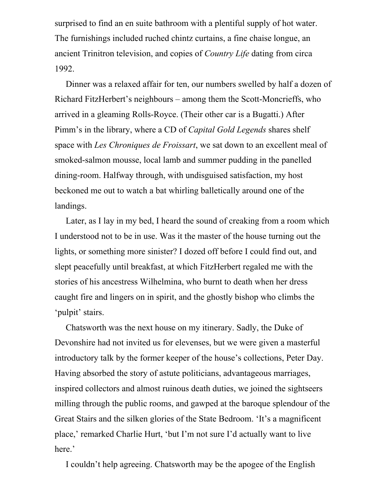surprised to find an en suite bathroom with a plentiful supply of hot water. The furnishings included ruched chintz curtains, a fine chaise longue, an ancient Trinitron television, and copies of *Country Life* dating from circa 1992.

 Dinner was a relaxed affair for ten, our numbers swelled by half a dozen of Richard FitzHerbert's neighbours – among them the Scott-Moncrieffs, who arrived in a gleaming Rolls-Royce. (Their other car is a Bugatti.) After Pimm's in the library, where a CD of *Capital Gold Legends* shares shelf space with *Les Chroniques de Froissart*, we sat down to an excellent meal of smoked-salmon mousse, local lamb and summer pudding in the panelled dining-room. Halfway through, with undisguised satisfaction, my host beckoned me out to watch a bat whirling balletically around one of the landings.

 Later, as I lay in my bed, I heard the sound of creaking from a room which I understood not to be in use. Was it the master of the house turning out the lights, or something more sinister? I dozed off before I could find out, and slept peacefully until breakfast, at which FitzHerbert regaled me with the stories of his ancestress Wilhelmina, who burnt to death when her dress caught fire and lingers on in spirit, and the ghostly bishop who climbs the 'pulpit' stairs.

 Chatsworth was the next house on my itinerary. Sadly, the Duke of Devonshire had not invited us for elevenses, but we were given a masterful introductory talk by the former keeper of the house's collections, Peter Day. Having absorbed the story of astute politicians, advantageous marriages, inspired collectors and almost ruinous death duties, we joined the sightseers milling through the public rooms, and gawped at the baroque splendour of the Great Stairs and the silken glories of the State Bedroom. 'It's a magnificent place,' remarked Charlie Hurt, 'but I'm not sure I'd actually want to live here.'

I couldn't help agreeing. Chatsworth may be the apogee of the English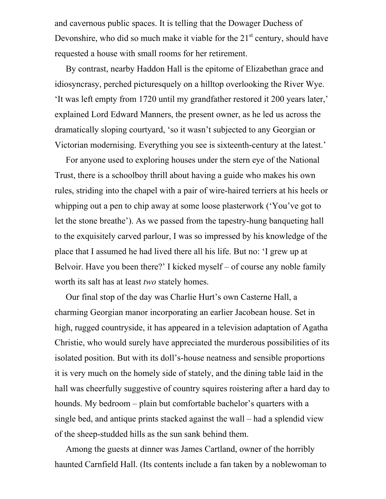and cavernous public spaces. It is telling that the Dowager Duchess of Devonshire, who did so much make it viable for the  $21<sup>st</sup>$  century, should have requested a house with small rooms for her retirement.

 By contrast, nearby Haddon Hall is the epitome of Elizabethan grace and idiosyncrasy, perched picturesquely on a hilltop overlooking the River Wye. 'It was left empty from 1720 until my grandfather restored it 200 years later,' explained Lord Edward Manners, the present owner, as he led us across the dramatically sloping courtyard, 'so it wasn't subjected to any Georgian or Victorian modernising. Everything you see is sixteenth-century at the latest.'

 For anyone used to exploring houses under the stern eye of the National Trust, there is a schoolboy thrill about having a guide who makes his own rules, striding into the chapel with a pair of wire-haired terriers at his heels or whipping out a pen to chip away at some loose plasterwork ('You've got to let the stone breathe'). As we passed from the tapestry-hung banqueting hall to the exquisitely carved parlour, I was so impressed by his knowledge of the place that I assumed he had lived there all his life. But no: 'I grew up at Belvoir. Have you been there?' I kicked myself – of course any noble family worth its salt has at least *two* stately homes.

 Our final stop of the day was Charlie Hurt's own Casterne Hall, a charming Georgian manor incorporating an earlier Jacobean house. Set in high, rugged countryside, it has appeared in a television adaptation of Agatha Christie, who would surely have appreciated the murderous possibilities of its isolated position. But with its doll's-house neatness and sensible proportions it is very much on the homely side of stately, and the dining table laid in the hall was cheerfully suggestive of country squires roistering after a hard day to hounds. My bedroom – plain but comfortable bachelor's quarters with a single bed, and antique prints stacked against the wall – had a splendid view of the sheep-studded hills as the sun sank behind them.

 Among the guests at dinner was James Cartland, owner of the horribly haunted Carnfield Hall. (Its contents include a fan taken by a noblewoman to